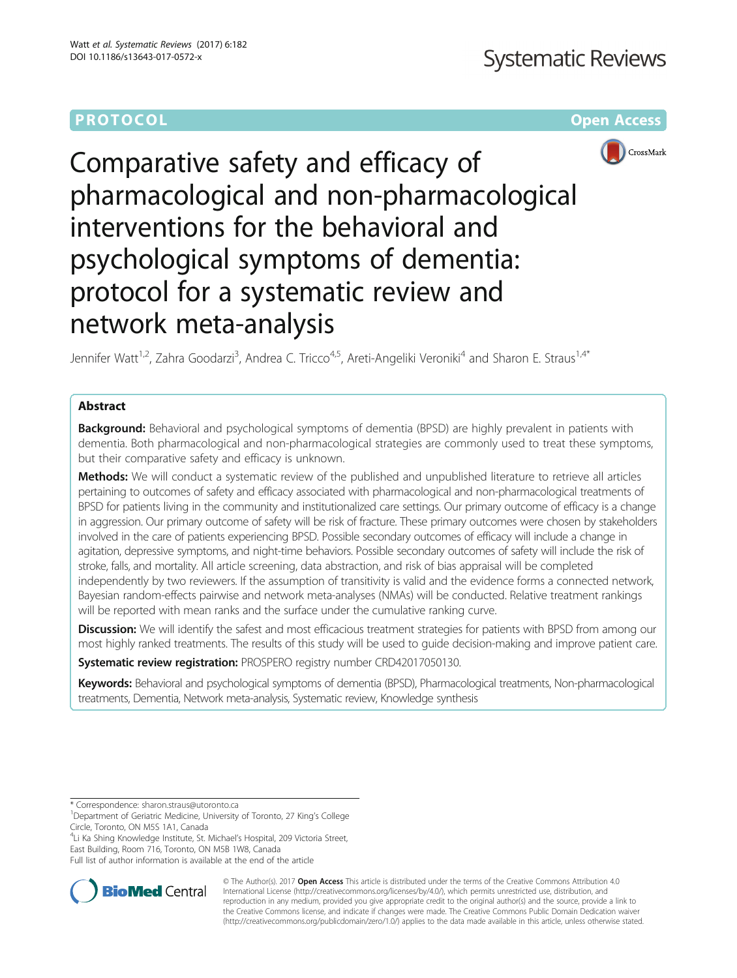# **PROTOCOL CONSUMING CONSUMING CONSUMING CONSUMING CONSUMING CONSUMING CONSUMING CONSUMING CONSUMING CONSUMING CONSUMING CONSUMING CONSUMING CONSUMING CONSUMING CONSUMING CONSUMING CONSUMING CONSUMING CONSUMING CONSUMING**



Comparative safety and efficacy of pharmacological and non-pharmacological interventions for the behavioral and psychological symptoms of dementia: protocol for a systematic review and network meta-analysis

Jennifer Watt<sup>1,2</sup>, Zahra Goodarzi<sup>3</sup>, Andrea C. Tricco<sup>4,5</sup>, Areti-Angeliki Veroniki<sup>4</sup> and Sharon E. Straus<sup>1,4\*</sup>

# Abstract

**Background:** Behavioral and psychological symptoms of dementia (BPSD) are highly prevalent in patients with dementia. Both pharmacological and non-pharmacological strategies are commonly used to treat these symptoms, but their comparative safety and efficacy is unknown.

Methods: We will conduct a systematic review of the published and unpublished literature to retrieve all articles pertaining to outcomes of safety and efficacy associated with pharmacological and non-pharmacological treatments of BPSD for patients living in the community and institutionalized care settings. Our primary outcome of efficacy is a change in aggression. Our primary outcome of safety will be risk of fracture. These primary outcomes were chosen by stakeholders involved in the care of patients experiencing BPSD. Possible secondary outcomes of efficacy will include a change in agitation, depressive symptoms, and night-time behaviors. Possible secondary outcomes of safety will include the risk of stroke, falls, and mortality. All article screening, data abstraction, and risk of bias appraisal will be completed independently by two reviewers. If the assumption of transitivity is valid and the evidence forms a connected network, Bayesian random-effects pairwise and network meta-analyses (NMAs) will be conducted. Relative treatment rankings will be reported with mean ranks and the surface under the cumulative ranking curve.

**Discussion:** We will identify the safest and most efficacious treatment strategies for patients with BPSD from among our most highly ranked treatments. The results of this study will be used to guide decision-making and improve patient care.

**Systematic review registration: PROSPERO registry number CRD42017050130.** 

Keywords: Behavioral and psychological symptoms of dementia (BPSD), Pharmacological treatments, Non-pharmacological treatments, Dementia, Network meta-analysis, Systematic review, Knowledge synthesis

<sup>4</sup>Li Ka Shing Knowledge Institute, St. Michael's Hospital, 209 Victoria Street, East Building, Room 716, Toronto, ON M5B 1W8, Canada

Full list of author information is available at the end of the article



© The Author(s). 2017 **Open Access** This article is distributed under the terms of the Creative Commons Attribution 4.0 International License [\(http://creativecommons.org/licenses/by/4.0/](http://creativecommons.org/licenses/by/4.0/)), which permits unrestricted use, distribution, and reproduction in any medium, provided you give appropriate credit to the original author(s) and the source, provide a link to the Creative Commons license, and indicate if changes were made. The Creative Commons Public Domain Dedication waiver [\(http://creativecommons.org/publicdomain/zero/1.0/](http://creativecommons.org/publicdomain/zero/1.0/)) applies to the data made available in this article, unless otherwise stated.

<sup>\*</sup> Correspondence: [sharon.straus@utoronto.ca](mailto:sharon.straus@utoronto.ca) <sup>1</sup>

<sup>&</sup>lt;sup>1</sup>Department of Geriatric Medicine, University of Toronto, 27 King's College Circle, Toronto, ON M5S 1A1, Canada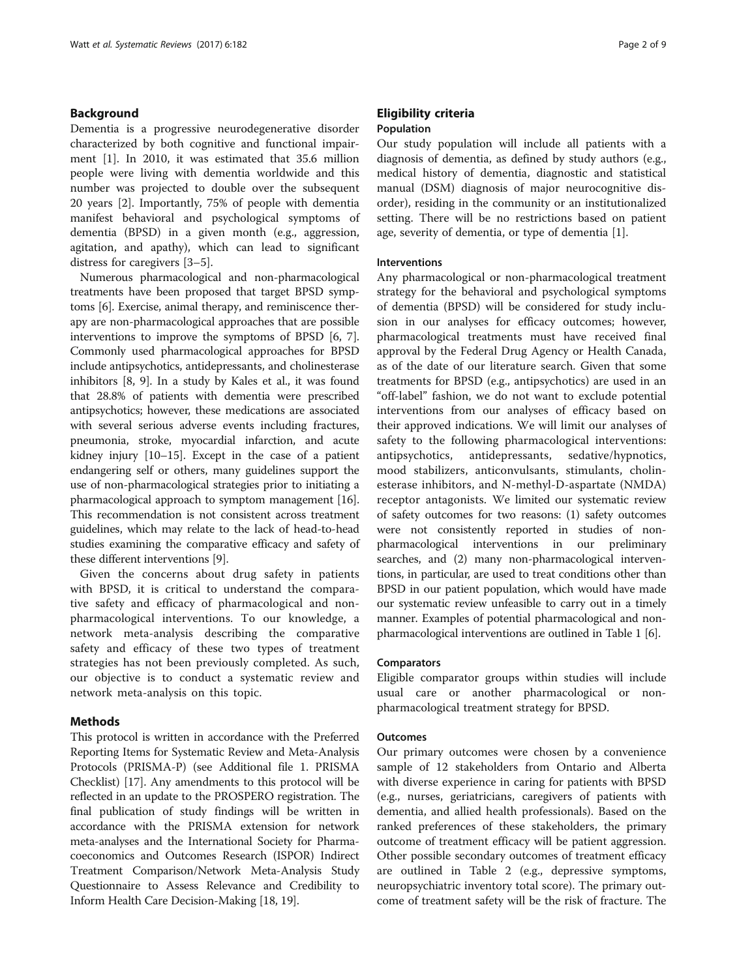# Background

Dementia is a progressive neurodegenerative disorder characterized by both cognitive and functional impairment [\[1](#page-7-0)]. In 2010, it was estimated that 35.6 million people were living with dementia worldwide and this number was projected to double over the subsequent 20 years [\[2](#page-7-0)]. Importantly, 75% of people with dementia manifest behavioral and psychological symptoms of dementia (BPSD) in a given month (e.g., aggression, agitation, and apathy), which can lead to significant distress for caregivers [\[3](#page-7-0)–[5\]](#page-7-0).

Numerous pharmacological and non-pharmacological treatments have been proposed that target BPSD symptoms [[6](#page-7-0)]. Exercise, animal therapy, and reminiscence therapy are non-pharmacological approaches that are possible interventions to improve the symptoms of BPSD [\[6](#page-7-0), [7](#page-7-0)]. Commonly used pharmacological approaches for BPSD include antipsychotics, antidepressants, and cholinesterase inhibitors [\[8](#page-7-0), [9\]](#page-7-0). In a study by Kales et al., it was found that 28.8% of patients with dementia were prescribed antipsychotics; however, these medications are associated with several serious adverse events including fractures, pneumonia, stroke, myocardial infarction, and acute kidney injury [[10](#page-7-0)–[15\]](#page-7-0). Except in the case of a patient endangering self or others, many guidelines support the use of non-pharmacological strategies prior to initiating a pharmacological approach to symptom management [[16](#page-7-0)]. This recommendation is not consistent across treatment guidelines, which may relate to the lack of head-to-head studies examining the comparative efficacy and safety of these different interventions [[9\]](#page-7-0).

Given the concerns about drug safety in patients with BPSD, it is critical to understand the comparative safety and efficacy of pharmacological and nonpharmacological interventions. To our knowledge, a network meta-analysis describing the comparative safety and efficacy of these two types of treatment strategies has not been previously completed. As such, our objective is to conduct a systematic review and network meta-analysis on this topic.

# Methods

This protocol is written in accordance with the Preferred Reporting Items for Systematic Review and Meta-Analysis Protocols (PRISMA-P) (see Additional file [1](#page-6-0). PRISMA Checklist) [\[17\]](#page-7-0). Any amendments to this protocol will be reflected in an update to the PROSPERO registration. The final publication of study findings will be written in accordance with the PRISMA extension for network meta-analyses and the International Society for Pharmacoeconomics and Outcomes Research (ISPOR) Indirect Treatment Comparison/Network Meta-Analysis Study Questionnaire to Assess Relevance and Credibility to Inform Health Care Decision-Making [[18](#page-7-0), [19\]](#page-7-0).

# Eligibility criteria Population

Our study population will include all patients with a diagnosis of dementia, as defined by study authors (e.g., medical history of dementia, diagnostic and statistical manual (DSM) diagnosis of major neurocognitive disorder), residing in the community or an institutionalized setting. There will be no restrictions based on patient age, severity of dementia, or type of dementia [[1\]](#page-7-0).

# Interventions

Any pharmacological or non-pharmacological treatment strategy for the behavioral and psychological symptoms of dementia (BPSD) will be considered for study inclusion in our analyses for efficacy outcomes; however, pharmacological treatments must have received final approval by the Federal Drug Agency or Health Canada, as of the date of our literature search. Given that some treatments for BPSD (e.g., antipsychotics) are used in an "off-label" fashion, we do not want to exclude potential interventions from our analyses of efficacy based on their approved indications. We will limit our analyses of safety to the following pharmacological interventions: antipsychotics, antidepressants, sedative/hypnotics, mood stabilizers, anticonvulsants, stimulants, cholinesterase inhibitors, and N-methyl-D-aspartate (NMDA) receptor antagonists. We limited our systematic review of safety outcomes for two reasons: (1) safety outcomes were not consistently reported in studies of nonpharmacological interventions in our preliminary searches, and (2) many non-pharmacological interventions, in particular, are used to treat conditions other than BPSD in our patient population, which would have made our systematic review unfeasible to carry out in a timely manner. Examples of potential pharmacological and nonpharmacological interventions are outlined in Table [1](#page-2-0) [\[6\]](#page-7-0).

# **Comparators**

Eligible comparator groups within studies will include usual care or another pharmacological or nonpharmacological treatment strategy for BPSD.

### **Outcomes**

Our primary outcomes were chosen by a convenience sample of 12 stakeholders from Ontario and Alberta with diverse experience in caring for patients with BPSD (e.g., nurses, geriatricians, caregivers of patients with dementia, and allied health professionals). Based on the ranked preferences of these stakeholders, the primary outcome of treatment efficacy will be patient aggression. Other possible secondary outcomes of treatment efficacy are outlined in Table [2](#page-2-0) (e.g., depressive symptoms, neuropsychiatric inventory total score). The primary outcome of treatment safety will be the risk of fracture. The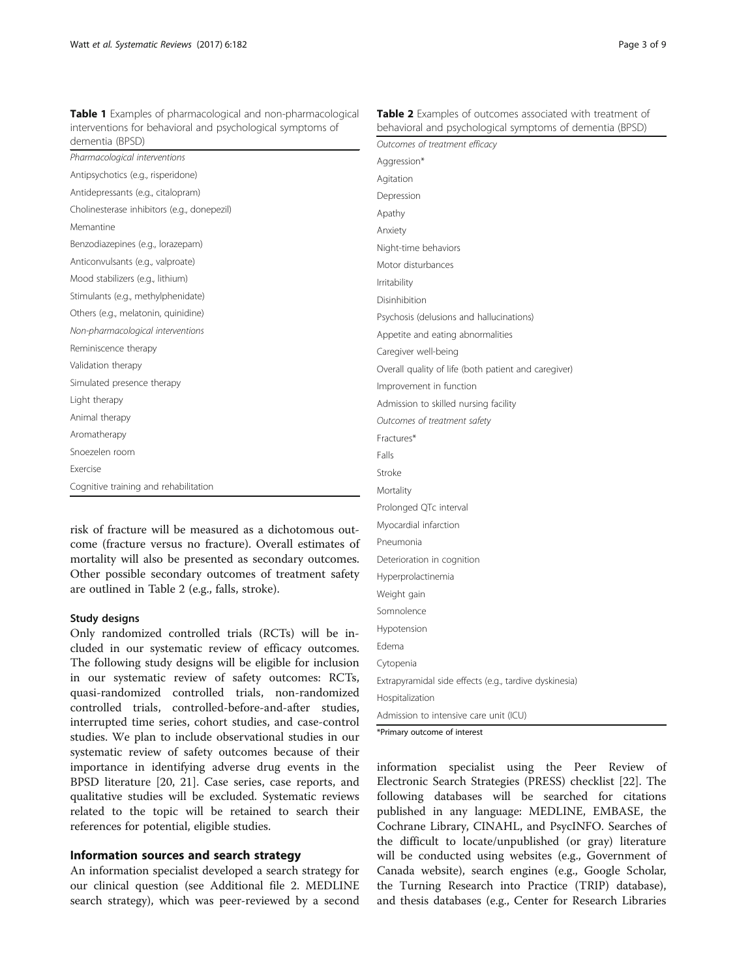<span id="page-2-0"></span>Table 1 Examples of pharmacological and non-pharmacological interventions for behavioral and psychological symptoms of dementia (BPSD)

| Pharmacological interventions               |
|---------------------------------------------|
| Antipsychotics (e.g., risperidone)          |
| Antidepressants (e.g., citalopram)          |
| Cholinesterase inhibitors (e.g., donepezil) |
| Memantine                                   |
| Benzodiazepines (e.g., lorazepam)           |
| Anticonvulsants (e.g., valproate)           |
| Mood stabilizers (e.g., lithium)            |
| Stimulants (e.g., methylphenidate)          |
| Others (e.g., melatonin, quinidine)         |
| Non-pharmacological interventions           |
| Reminiscence therapy                        |
| Validation therapy                          |
| Simulated presence therapy                  |
| Light therapy                               |
| Animal therapy                              |
| Aromatherapy                                |
| Snoezelen room                              |
| Exercise                                    |
| Cognitive training and rehabilitation       |

risk of fracture will be measured as a dichotomous outcome (fracture versus no fracture). Overall estimates of mortality will also be presented as secondary outcomes. Other possible secondary outcomes of treatment safety are outlined in Table 2 (e.g., falls, stroke).

#### Study designs

Only randomized controlled trials (RCTs) will be included in our systematic review of efficacy outcomes. The following study designs will be eligible for inclusion in our systematic review of safety outcomes: RCTs, quasi-randomized controlled trials, non-randomized controlled trials, controlled-before-and-after studies, interrupted time series, cohort studies, and case-control studies. We plan to include observational studies in our systematic review of safety outcomes because of their importance in identifying adverse drug events in the BPSD literature [\[20](#page-7-0), [21\]](#page-7-0). Case series, case reports, and qualitative studies will be excluded. Systematic reviews related to the topic will be retained to search their references for potential, eligible studies.

# Information sources and search strategy

An information specialist developed a search strategy for our clinical question (see Additional file [2.](#page-6-0) MEDLINE search strategy), which was peer-reviewed by a second

Table 2 Examples of outcomes associated with treatment of behavioral and psychological symptoms of dementia (BPSD) Outcomes of treatment efficacy

Aggression\* Agitation Depression Apathy Anxiety

Irritability Disinhibition

Fractures\* Falls Stroke Mortality

Pneumonia

Night-time behaviors Motor disturbances

Caregiver well-being

Improvement in function

Prolonged QTc interval Myocardial infarction

Deterioration in cognition Hyperprolactinemia Weight gain Somnolence Hypotension

Admission to skilled nursing facility Outcomes of treatment safety

Psychosis (delusions and hallucinations) Appetite and eating abnormalities

Overall quality of life (both patient and caregiver)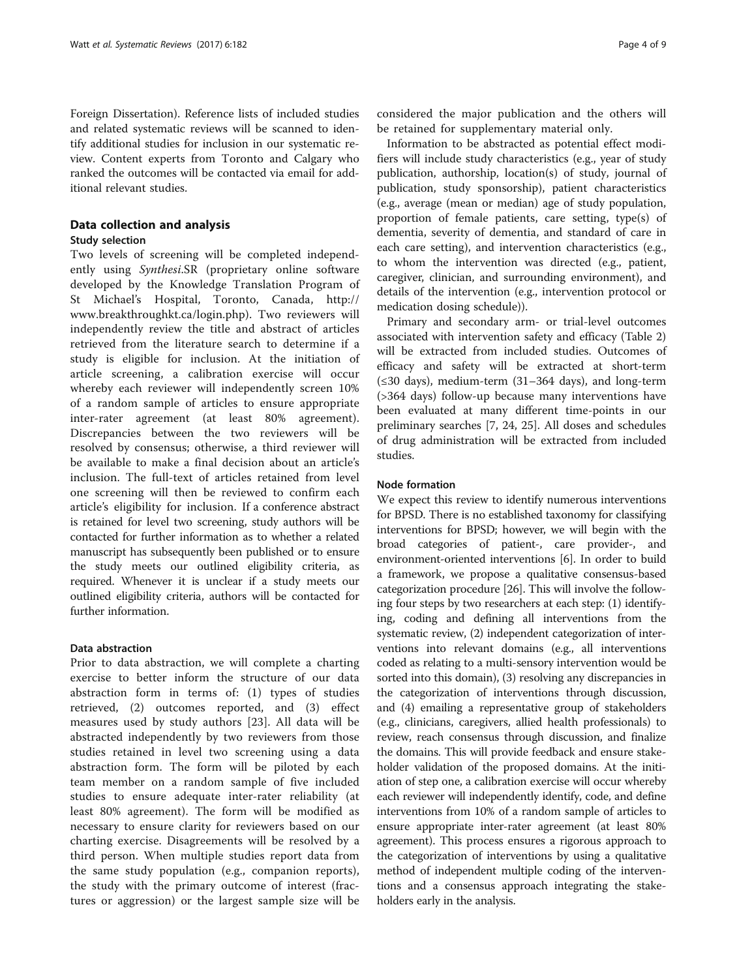Foreign Dissertation). Reference lists of included studies and related systematic reviews will be scanned to identify additional studies for inclusion in our systematic review. Content experts from Toronto and Calgary who ranked the outcomes will be contacted via email for additional relevant studies.

# Data collection and analysis

## Study selection

Two levels of screening will be completed independently using Synthesi.SR (proprietary online software developed by the Knowledge Translation Program of St Michael's Hospital, Toronto, Canada, [http://](http://www.breakthroughkt.ca/login.php) [www.breakthroughkt.ca/login.php](http://www.breakthroughkt.ca/login.php)). Two reviewers will independently review the title and abstract of articles retrieved from the literature search to determine if a study is eligible for inclusion. At the initiation of article screening, a calibration exercise will occur whereby each reviewer will independently screen 10% of a random sample of articles to ensure appropriate inter-rater agreement (at least 80% agreement). Discrepancies between the two reviewers will be resolved by consensus; otherwise, a third reviewer will be available to make a final decision about an article's inclusion. The full-text of articles retained from level one screening will then be reviewed to confirm each article's eligibility for inclusion. If a conference abstract is retained for level two screening, study authors will be contacted for further information as to whether a related manuscript has subsequently been published or to ensure the study meets our outlined eligibility criteria, as required. Whenever it is unclear if a study meets our outlined eligibility criteria, authors will be contacted for further information.

#### Data abstraction

Prior to data abstraction, we will complete a charting exercise to better inform the structure of our data abstraction form in terms of: (1) types of studies retrieved, (2) outcomes reported, and (3) effect measures used by study authors [\[23](#page-7-0)]. All data will be abstracted independently by two reviewers from those studies retained in level two screening using a data abstraction form. The form will be piloted by each team member on a random sample of five included studies to ensure adequate inter-rater reliability (at least 80% agreement). The form will be modified as necessary to ensure clarity for reviewers based on our charting exercise. Disagreements will be resolved by a third person. When multiple studies report data from the same study population (e.g., companion reports), the study with the primary outcome of interest (fractures or aggression) or the largest sample size will be

considered the major publication and the others will be retained for supplementary material only.

Information to be abstracted as potential effect modifiers will include study characteristics (e.g., year of study publication, authorship, location(s) of study, journal of publication, study sponsorship), patient characteristics (e.g., average (mean or median) age of study population, proportion of female patients, care setting, type(s) of dementia, severity of dementia, and standard of care in each care setting), and intervention characteristics (e.g., to whom the intervention was directed (e.g., patient, caregiver, clinician, and surrounding environment), and details of the intervention (e.g., intervention protocol or medication dosing schedule)).

Primary and secondary arm- or trial-level outcomes associated with intervention safety and efficacy (Table [2](#page-2-0)) will be extracted from included studies. Outcomes of efficacy and safety will be extracted at short-term (≤30 days), medium-term (31–364 days), and long-term (>364 days) follow-up because many interventions have been evaluated at many different time-points in our preliminary searches [[7, 24, 25](#page-7-0)]. All doses and schedules of drug administration will be extracted from included studies.

## Node formation

We expect this review to identify numerous interventions for BPSD. There is no established taxonomy for classifying interventions for BPSD; however, we will begin with the broad categories of patient-, care provider-, and environment-oriented interventions [[6](#page-7-0)]. In order to build a framework, we propose a qualitative consensus-based categorization procedure [[26](#page-7-0)]. This will involve the following four steps by two researchers at each step: (1) identifying, coding and defining all interventions from the systematic review, (2) independent categorization of interventions into relevant domains (e.g., all interventions coded as relating to a multi-sensory intervention would be sorted into this domain), (3) resolving any discrepancies in the categorization of interventions through discussion, and (4) emailing a representative group of stakeholders (e.g., clinicians, caregivers, allied health professionals) to review, reach consensus through discussion, and finalize the domains. This will provide feedback and ensure stakeholder validation of the proposed domains. At the initiation of step one, a calibration exercise will occur whereby each reviewer will independently identify, code, and define interventions from 10% of a random sample of articles to ensure appropriate inter-rater agreement (at least 80% agreement). This process ensures a rigorous approach to the categorization of interventions by using a qualitative method of independent multiple coding of the interventions and a consensus approach integrating the stakeholders early in the analysis.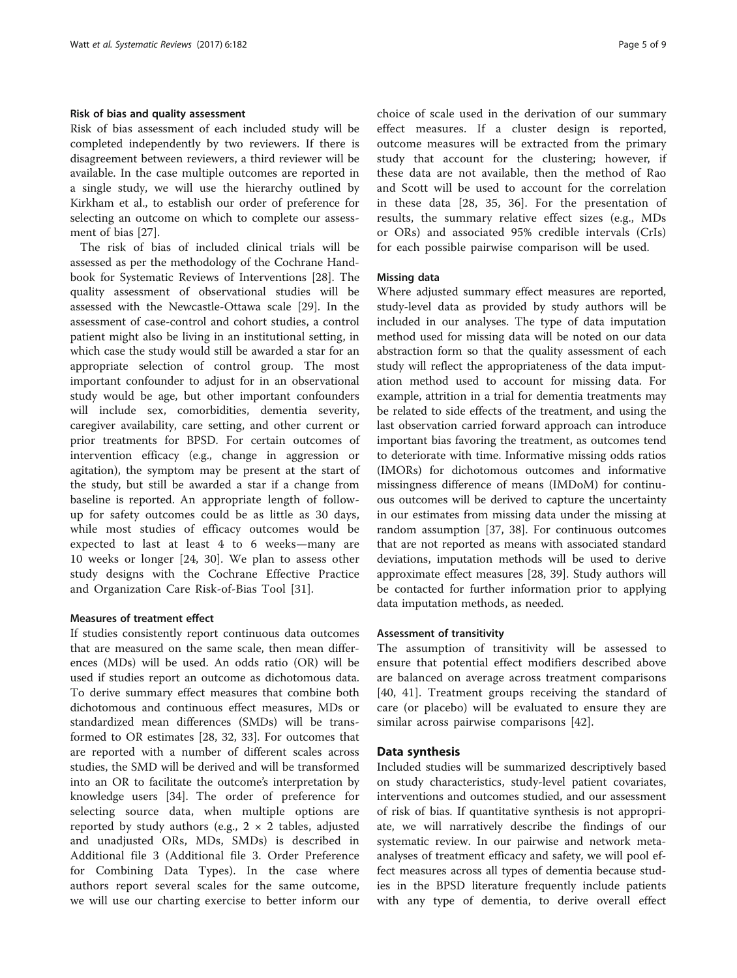# Risk of bias and quality assessment

Risk of bias assessment of each included study will be completed independently by two reviewers. If there is disagreement between reviewers, a third reviewer will be available. In the case multiple outcomes are reported in a single study, we will use the hierarchy outlined by Kirkham et al., to establish our order of preference for selecting an outcome on which to complete our assessment of bias [\[27\]](#page-7-0).

The risk of bias of included clinical trials will be assessed as per the methodology of the Cochrane Handbook for Systematic Reviews of Interventions [\[28\]](#page-7-0). The quality assessment of observational studies will be assessed with the Newcastle-Ottawa scale [[29\]](#page-7-0). In the assessment of case-control and cohort studies, a control patient might also be living in an institutional setting, in which case the study would still be awarded a star for an appropriate selection of control group. The most important confounder to adjust for in an observational study would be age, but other important confounders will include sex, comorbidities, dementia severity, caregiver availability, care setting, and other current or prior treatments for BPSD. For certain outcomes of intervention efficacy (e.g., change in aggression or agitation), the symptom may be present at the start of the study, but still be awarded a star if a change from baseline is reported. An appropriate length of followup for safety outcomes could be as little as 30 days, while most studies of efficacy outcomes would be expected to last at least 4 to 6 weeks—many are 10 weeks or longer [\[24](#page-7-0), [30](#page-7-0)]. We plan to assess other study designs with the Cochrane Effective Practice and Organization Care Risk-of-Bias Tool [\[31](#page-7-0)].

#### Measures of treatment effect

If studies consistently report continuous data outcomes that are measured on the same scale, then mean differences (MDs) will be used. An odds ratio (OR) will be used if studies report an outcome as dichotomous data. To derive summary effect measures that combine both dichotomous and continuous effect measures, MDs or standardized mean differences (SMDs) will be transformed to OR estimates [[28, 32](#page-7-0), [33\]](#page-7-0). For outcomes that are reported with a number of different scales across studies, the SMD will be derived and will be transformed into an OR to facilitate the outcome's interpretation by knowledge users [\[34\]](#page-7-0). The order of preference for selecting source data, when multiple options are reported by study authors (e.g.,  $2 \times 2$  tables, adjusted and unadjusted ORs, MDs, SMDs) is described in Additional file [3](#page-6-0) (Additional file [3](#page-6-0). Order Preference for Combining Data Types). In the case where authors report several scales for the same outcome, we will use our charting exercise to better inform our

choice of scale used in the derivation of our summary effect measures. If a cluster design is reported, outcome measures will be extracted from the primary study that account for the clustering; however, if these data are not available, then the method of Rao and Scott will be used to account for the correlation in these data [[28, 35](#page-7-0), [36\]](#page-7-0). For the presentation of results, the summary relative effect sizes (e.g., MDs or ORs) and associated 95% credible intervals (CrIs) for each possible pairwise comparison will be used.

## Missing data

Where adjusted summary effect measures are reported, study-level data as provided by study authors will be included in our analyses. The type of data imputation method used for missing data will be noted on our data abstraction form so that the quality assessment of each study will reflect the appropriateness of the data imputation method used to account for missing data. For example, attrition in a trial for dementia treatments may be related to side effects of the treatment, and using the last observation carried forward approach can introduce important bias favoring the treatment, as outcomes tend to deteriorate with time. Informative missing odds ratios (IMORs) for dichotomous outcomes and informative missingness difference of means (IMDoM) for continuous outcomes will be derived to capture the uncertainty in our estimates from missing data under the missing at random assumption [\[37](#page-7-0), [38\]](#page-7-0). For continuous outcomes that are not reported as means with associated standard deviations, imputation methods will be used to derive approximate effect measures [\[28](#page-7-0), [39\]](#page-7-0). Study authors will be contacted for further information prior to applying data imputation methods, as needed.

# Assessment of transitivity

The assumption of transitivity will be assessed to ensure that potential effect modifiers described above are balanced on average across treatment comparisons [[40,](#page-7-0) [41](#page-8-0)]. Treatment groups receiving the standard of care (or placebo) will be evaluated to ensure they are similar across pairwise comparisons [[42\]](#page-8-0).

# Data synthesis

Included studies will be summarized descriptively based on study characteristics, study-level patient covariates, interventions and outcomes studied, and our assessment of risk of bias. If quantitative synthesis is not appropriate, we will narratively describe the findings of our systematic review. In our pairwise and network metaanalyses of treatment efficacy and safety, we will pool effect measures across all types of dementia because studies in the BPSD literature frequently include patients with any type of dementia, to derive overall effect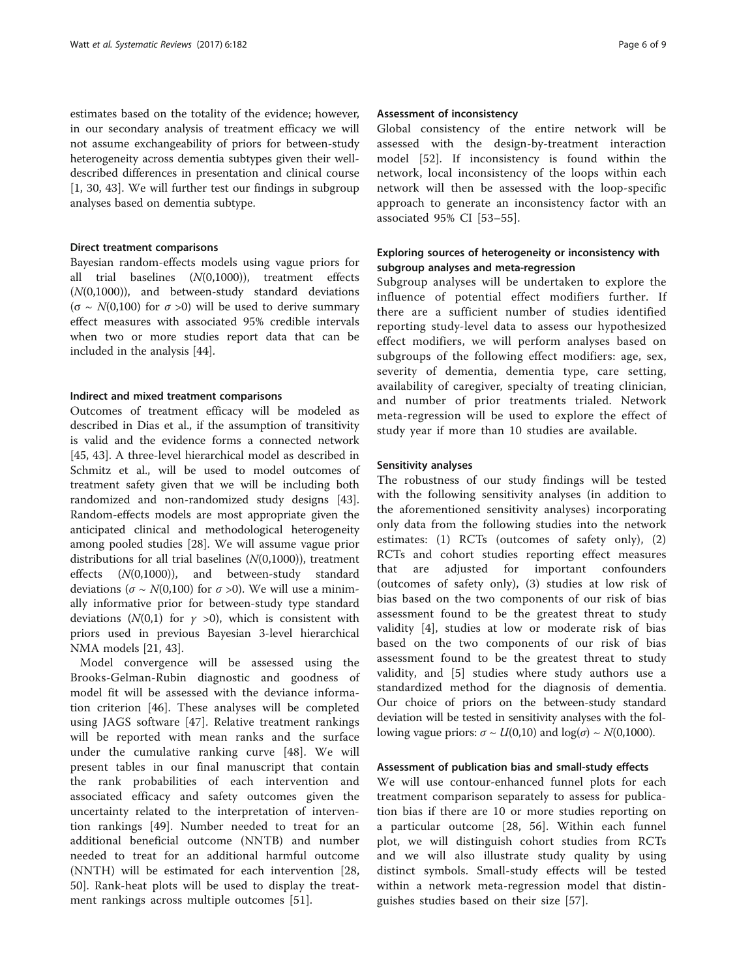estimates based on the totality of the evidence; however, in our secondary analysis of treatment efficacy we will not assume exchangeability of priors for between-study heterogeneity across dementia subtypes given their welldescribed differences in presentation and clinical course [[1, 30,](#page-7-0) [43](#page-8-0)]. We will further test our findings in subgroup analyses based on dementia subtype.

# Direct treatment comparisons

Bayesian random-effects models using vague priors for all trial baselines  $(N(0,1000))$ , treatment effects (N(0,1000)), and between-study standard deviations ( $\sigma \sim N(0,100)$  for  $\sigma > 0$ ) will be used to derive summary effect measures with associated 95% credible intervals when two or more studies report data that can be included in the analysis [[44\]](#page-8-0).

### Indirect and mixed treatment comparisons

Outcomes of treatment efficacy will be modeled as described in Dias et al., if the assumption of transitivity is valid and the evidence forms a connected network [[45, 43\]](#page-8-0). A three-level hierarchical model as described in Schmitz et al., will be used to model outcomes of treatment safety given that we will be including both randomized and non-randomized study designs [\[43](#page-8-0)]. Random-effects models are most appropriate given the anticipated clinical and methodological heterogeneity among pooled studies [[28](#page-7-0)]. We will assume vague prior distributions for all trial baselines  $(N(0,1000))$ , treatment effects (N(0,1000)), and between-study standard deviations ( $\sigma \sim N(0,100)$  for  $\sigma > 0$ ). We will use a minimally informative prior for between-study type standard deviations  $(N(0,1)$  for  $\gamma > 0$ ), which is consistent with priors used in previous Bayesian 3-level hierarchical NMA models [[21,](#page-7-0) [43](#page-8-0)].

Model convergence will be assessed using the Brooks-Gelman-Rubin diagnostic and goodness of model fit will be assessed with the deviance information criterion [[46\]](#page-8-0). These analyses will be completed using JAGS software [[47\]](#page-8-0). Relative treatment rankings will be reported with mean ranks and the surface under the cumulative ranking curve [\[48](#page-8-0)]. We will present tables in our final manuscript that contain the rank probabilities of each intervention and associated efficacy and safety outcomes given the uncertainty related to the interpretation of intervention rankings [\[49](#page-8-0)]. Number needed to treat for an additional beneficial outcome (NNTB) and number needed to treat for an additional harmful outcome (NNTH) will be estimated for each intervention [\[28](#page-7-0), [50\]](#page-8-0). Rank-heat plots will be used to display the treatment rankings across multiple outcomes [\[51](#page-8-0)].

# Assessment of inconsistency

Global consistency of the entire network will be assessed with the design-by-treatment interaction model [[52\]](#page-8-0). If inconsistency is found within the network, local inconsistency of the loops within each network will then be assessed with the loop-specific approach to generate an inconsistency factor with an associated 95% CI [[53](#page-8-0)–[55](#page-8-0)].

# Exploring sources of heterogeneity or inconsistency with subgroup analyses and meta-regression

Subgroup analyses will be undertaken to explore the influence of potential effect modifiers further. If there are a sufficient number of studies identified reporting study-level data to assess our hypothesized effect modifiers, we will perform analyses based on subgroups of the following effect modifiers: age, sex, severity of dementia, dementia type, care setting, availability of caregiver, specialty of treating clinician, and number of prior treatments trialed. Network meta-regression will be used to explore the effect of study year if more than 10 studies are available.

### Sensitivity analyses

The robustness of our study findings will be tested with the following sensitivity analyses (in addition to the aforementioned sensitivity analyses) incorporating only data from the following studies into the network estimates: (1) RCTs (outcomes of safety only), (2) RCTs and cohort studies reporting effect measures that are adjusted for important confounders (outcomes of safety only), (3) studies at low risk of bias based on the two components of our risk of bias assessment found to be the greatest threat to study validity [[4\]](#page-7-0), studies at low or moderate risk of bias based on the two components of our risk of bias assessment found to be the greatest threat to study validity, and [[5\]](#page-7-0) studies where study authors use a standardized method for the diagnosis of dementia. Our choice of priors on the between-study standard deviation will be tested in sensitivity analyses with the following vague priors:  $\sigma \sim U(0,10)$  and  $\log(\sigma) \sim N(0,1000)$ .

# Assessment of publication bias and small-study effects

We will use contour-enhanced funnel plots for each treatment comparison separately to assess for publication bias if there are 10 or more studies reporting on a particular outcome [\[28](#page-7-0), [56](#page-8-0)]. Within each funnel plot, we will distinguish cohort studies from RCTs and we will also illustrate study quality by using distinct symbols. Small-study effects will be tested within a network meta-regression model that distinguishes studies based on their size [[57\]](#page-8-0).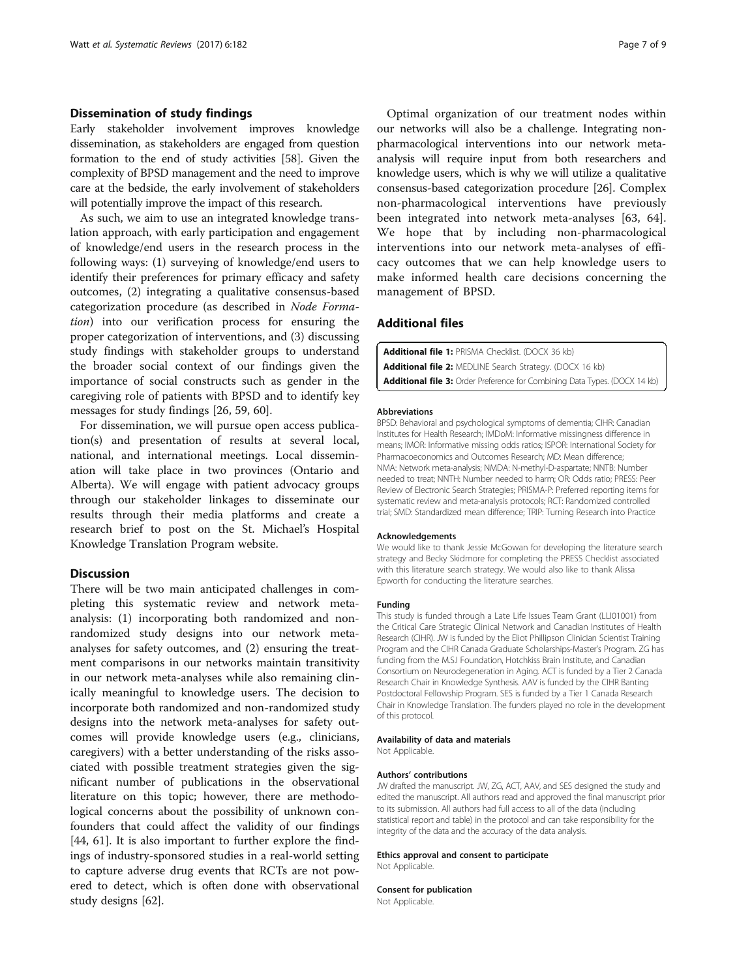# <span id="page-6-0"></span>Dissemination of study findings

Early stakeholder involvement improves knowledge dissemination, as stakeholders are engaged from question formation to the end of study activities [\[58](#page-8-0)]. Given the complexity of BPSD management and the need to improve care at the bedside, the early involvement of stakeholders will potentially improve the impact of this research.

As such, we aim to use an integrated knowledge translation approach, with early participation and engagement of knowledge/end users in the research process in the following ways: (1) surveying of knowledge/end users to identify their preferences for primary efficacy and safety outcomes, (2) integrating a qualitative consensus-based categorization procedure (as described in Node Formation) into our verification process for ensuring the proper categorization of interventions, and (3) discussing study findings with stakeholder groups to understand the broader social context of our findings given the importance of social constructs such as gender in the caregiving role of patients with BPSD and to identify key messages for study findings [\[26,](#page-7-0) [59, 60\]](#page-8-0).

For dissemination, we will pursue open access publication(s) and presentation of results at several local, national, and international meetings. Local dissemination will take place in two provinces (Ontario and Alberta). We will engage with patient advocacy groups through our stakeholder linkages to disseminate our results through their media platforms and create a research brief to post on the St. Michael's Hospital Knowledge Translation Program website.

# **Discussion**

There will be two main anticipated challenges in completing this systematic review and network metaanalysis: (1) incorporating both randomized and nonrandomized study designs into our network metaanalyses for safety outcomes, and (2) ensuring the treatment comparisons in our networks maintain transitivity in our network meta-analyses while also remaining clinically meaningful to knowledge users. The decision to incorporate both randomized and non-randomized study designs into the network meta-analyses for safety outcomes will provide knowledge users (e.g., clinicians, caregivers) with a better understanding of the risks associated with possible treatment strategies given the significant number of publications in the observational literature on this topic; however, there are methodological concerns about the possibility of unknown confounders that could affect the validity of our findings [[44, 61](#page-8-0)]. It is also important to further explore the findings of industry-sponsored studies in a real-world setting to capture adverse drug events that RCTs are not powered to detect, which is often done with observational study designs [\[62](#page-8-0)].

Optimal organization of our treatment nodes within our networks will also be a challenge. Integrating nonpharmacological interventions into our network metaanalysis will require input from both researchers and knowledge users, which is why we will utilize a qualitative consensus-based categorization procedure [[26](#page-7-0)]. Complex non-pharmacological interventions have previously been integrated into network meta-analyses [[63, 64](#page-8-0)]. We hope that by including non-pharmacological interventions into our network meta-analyses of efficacy outcomes that we can help knowledge users to make informed health care decisions concerning the management of BPSD.

# Additional files

[Additional file 1:](dx.doi.org/10.1186/s13643-017-0572-x) PRISMA Checklist. (DOCX 36 kb) [Additional file 2:](dx.doi.org/10.1186/s13643-017-0572-x) MEDLINE Search Strategy. (DOCX 16 kb) [Additional file 3:](dx.doi.org/10.1186/s13643-017-0572-x) Order Preference for Combining Data Types. (DOCX 14 kb)

#### Abbreviations

BPSD: Behavioral and psychological symptoms of dementia; CIHR: Canadian Institutes for Health Research; IMDoM: Informative missingness difference in means; IMOR: Informative missing odds ratios; ISPOR: International Society for Pharmacoeconomics and Outcomes Research; MD: Mean difference; NMA: Network meta-analysis; NMDA: N-methyl-D-aspartate; NNTB: Number needed to treat; NNTH: Number needed to harm; OR: Odds ratio; PRESS: Peer Review of Electronic Search Strategies; PRISMA-P: Preferred reporting items for systematic review and meta-analysis protocols; RCT: Randomized controlled trial; SMD: Standardized mean difference; TRIP: Turning Research into Practice

#### Acknowledgements

We would like to thank Jessie McGowan for developing the literature search strategy and Becky Skidmore for completing the PRESS Checklist associated with this literature search strategy. We would also like to thank Alissa Epworth for conducting the literature searches.

#### Funding

This study is funded through a Late Life Issues Team Grant (LLI01001) from the Critical Care Strategic Clinical Network and Canadian Institutes of Health Research (CIHR). JW is funded by the Eliot Phillipson Clinician Scientist Training Program and the CIHR Canada Graduate Scholarships-Master's Program. ZG has funding from the M.S.I Foundation, Hotchkiss Brain Institute, and Canadian Consortium on Neurodegeneration in Aging. ACT is funded by a Tier 2 Canada Research Chair in Knowledge Synthesis. AAV is funded by the CIHR Banting Postdoctoral Fellowship Program. SES is funded by a Tier 1 Canada Research Chair in Knowledge Translation. The funders played no role in the development of this protocol.

#### Availability of data and materials

Not Applicable.

#### Authors' contributions

JW drafted the manuscript. JW, ZG, ACT, AAV, and SES designed the study and edited the manuscript. All authors read and approved the final manuscript prior to its submission. All authors had full access to all of the data (including statistical report and table) in the protocol and can take responsibility for the integrity of the data and the accuracy of the data analysis.

#### Ethics approval and consent to participate

Not Applicable.

#### Consent for publication

Not Applicable.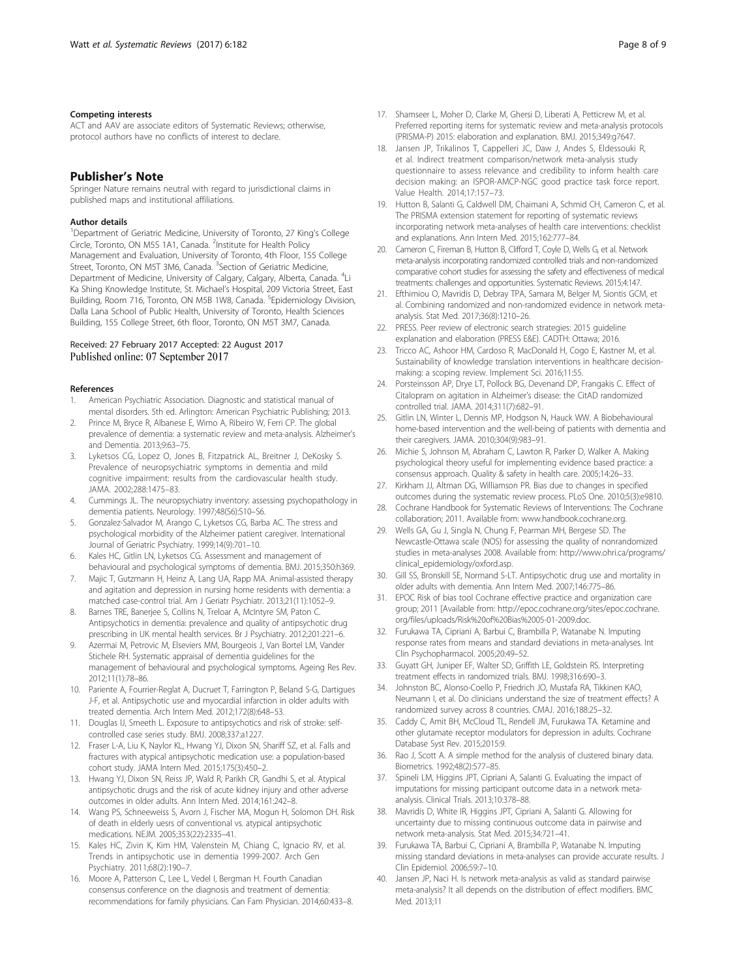#### <span id="page-7-0"></span>Competing interests

ACT and AAV are associate editors of Systematic Reviews; otherwise, protocol authors have no conflicts of interest to declare.

# Publisher's Note

Springer Nature remains neutral with regard to jurisdictional claims in published maps and institutional affiliations.

#### Author details

<sup>1</sup>Department of Geriatric Medicine, University of Toronto, 27 King's College Circle, Toronto, ON M5S 1A1, Canada. <sup>2</sup>Institute for Health Policy Management and Evaluation, University of Toronto, 4th Floor, 155 College Street, Toronto, ON M5T 3M6, Canada. <sup>3</sup>Section of Geriatric Medicine, Department of Medicine, University of Calgary, Calgary, Alberta, Canada. <sup>4</sup>Li Ka Shing Knowledge Institute, St. Michael's Hospital, 209 Victoria Street, East Building, Room 716, Toronto, ON M5B 1W8, Canada. <sup>5</sup>Epidemiology Division, Dalla Lana School of Public Health, University of Toronto, Health Sciences Building, 155 College Street, 6th floor, Toronto, ON M5T 3M7, Canada.

### Received: 27 February 2017 Accepted: 22 August 2017 Published online: 07 September 2017

#### References

- 1. American Psychiatric Association. Diagnostic and statistical manual of mental disorders. 5th ed. Arlington: American Psychiatric Publishing; 2013.
- Prince M, Bryce R, Albanese E, Wimo A, Ribeiro W, Ferri CP. The global prevalence of dementia: a systematic review and meta-analysis. Alzheimer's and Dementia. 2013;9:63–75.
- 3. Lyketsos CG, Lopez O, Jones B, Fitzpatrick AL, Breitner J, DeKosky S. Prevalence of neuropsychiatric symptoms in dementia and mild cognitive impairment: results from the cardiovascular health study. JAMA. 2002;288:1475–83.
- 4. Cummings JL. The neuropsychiatry inventory: assessing psychopathology in dementia patients. Neurology. 1997;48(S6):S10–S6.
- 5. Gonzalez-Salvador M, Arango C, Lyketsos CG, Barba AC. The stress and psychological morbidity of the Alzheimer patient caregiver. International Journal of Geriatric Psychiatry. 1999;14(9):701–10.
- 6. Kales HC, Gitlin LN, Lyketsos CG. Assessment and management of behavioural and psychological symptoms of dementia. BMJ. 2015;350:h369.
- 7. Majic T, Gutzmann H, Heinz A, Lang UA, Rapp MA. Animal-assisted therapy and agitation and depression in nursing home residents with dementia: a matched case-control trial. Am J Geriatr Psychiatr. 2013;21(11):1052–9.
- 8. Barnes TRE, Banerjee S, Collins N, Treloar A, McIntyre SM, Paton C. Antipsychotics in dementia: prevalence and quality of antipsychotic drug prescribing in UK mental health services. Br J Psychiatry. 2012;201:221–6.
- Azermai M, Petrovic M, Elseviers MM, Bourgeois J, Van Bortel LM, Vander Stichele RH. Systematic appraisal of dementia guidelines for the management of behavioural and psychological symptoms. Ageing Res Rev. 2012;11(1):78–86.
- 10. Pariente A, Fourrier-Reglat A, Ducruet T, Farrington P, Beland S-G, Dartigues J-F, et al. Antipsychotic use and myocardial infarction in older adults with treated dementia. Arch Intern Med. 2012;172(8):648–53.
- 11. Douglas IJ, Smeeth L. Exposure to antipsychotics and risk of stroke: selfcontrolled case series study. BMJ. 2008;337:a1227.
- 12. Fraser L-A, Liu K, Naylor KL, Hwang YJ, Dixon SN, Shariff SZ, et al. Falls and fractures with atypical antipsychotic medication use: a population-based cohort study. JAMA Intern Med. 2015;175(3):450–2.
- 13. Hwang YJ, Dixon SN, Reiss JP, Wald R, Parikh CR, Gandhi S, et al. Atypical antipsychotic drugs and the risk of acute kidney injury and other adverse outcomes in older adults. Ann Intern Med. 2014;161:242–8.
- 14. Wang PS, Schneeweiss S, Avorn J, Fischer MA, Mogun H, Solomon DH. Risk of death in elderly uesrs of conventional vs. atypical antipsychotic medications. NEJM. 2005;353(22):2335–41.
- 15. Kales HC, Zivin K, Kim HM, Valenstein M, Chiang C, Ignacio RV, et al. Trends in antipsychotic use in dementia 1999-2007. Arch Gen Psychiatry. 2011;68(2):190–7.
- 16. Moore A, Patterson C, Lee L, Vedel I, Bergman H. Fourth Canadian consensus conference on the diagnosis and treatment of dementia: recommendations for family physicians. Can Fam Physician. 2014;60:433–8.
- 17. Shamseer L, Moher D, Clarke M, Ghersi D, Liberati A, Petticrew M, et al. Preferred reporting items for systematic review and meta-analysis protocols (PRISMA-P) 2015: elaboration and explanation. BMJ. 2015;349:g7647.
- 18. Jansen JP, Trikalinos T, Cappelleri JC, Daw J, Andes S, Eldessouki R, et al. Indirect treatment comparison/network meta-analysis study questionnaire to assess relevance and credibility to inform health care decision making: an ISPOR-AMCP-NGC good practice task force report. Value Health. 2014;17:157–73.
- 19. Hutton B, Salanti G, Caldwell DM, Chaimani A, Schmid CH, Cameron C, et al. The PRISMA extension statement for reporting of systematic reviews incorporating network meta-analyses of health care interventions: checklist and explanations. Ann Intern Med. 2015;162:777–84.
- 20. Cameron C, Fireman B, Hutton B, Clifford T, Coyle D, Wells G, et al. Network meta-analysis incorporating randomized controlled trials and non-randomized comparative cohort studies for assessing the safety and effectiveness of medical treatments: challenges and opportunities. Systematic Reviews. 2015;4:147.
- 21. Efthimiou O, Mavridis D, Debray TPA, Samara M, Belger M, Siontis GCM, et al. Combining randomized and non-randomized evidence in network metaanalysis. Stat Med. 2017;36(8):1210–26.
- 22. PRESS. Peer review of electronic search strategies: 2015 guideline explanation and elaboration (PRESS E&E). CADTH: Ottawa; 2016.
- 23. Tricco AC, Ashoor HM, Cardoso R, MacDonald H, Cogo E, Kastner M, et al. Sustainability of knowledge translation interventions in healthcare decisionmaking: a scoping review. Implement Sci. 2016;11:55.
- 24. Porsteinsson AP, Drye LT, Pollock BG, Devenand DP, Frangakis C. Effect of Citalopram on agitation in Alzheimer's disease: the CitAD randomized controlled trial. JAMA. 2014;311(7):682–91.
- 25. Gitlin LN, Winter L, Dennis MP, Hodgson N, Hauck WW. A Biobehavioural home-based intervention and the well-being of patients with dementia and their caregivers. JAMA. 2010;304(9):983–91.
- 26. Michie S, Johnson M, Abraham C, Lawton R, Parker D, Walker A. Making psychological theory useful for implementing evidence based practice: a consensus approach. Quality & safety in health care. 2005;14:26–33.
- 27. Kirkham JJ, Altman DG, Williamson PR. Bias due to changes in specified outcomes during the systematic review process. PLoS One. 2010;5(3):e9810.
- 28. Cochrane Handbook for Systematic Reviews of Interventions: The Cochrane collaboration; 2011. Available from: [www.handbook.cochrane.org.](http://www.handbook.cochrane.org/)
- 29. Wells GA, Gu J, Singla N, Chung F, Pearman MH, Bergese SD. The Newcastle-Ottawa scale (NOS) for assessing the quality of nonrandomized studies in meta-analyses 2008. Available from: [http://www.ohri.ca/programs/](http://www.ohri.ca/programs/clinical_epidemiology/oxford.asp) [clinical\\_epidemiology/oxford.asp](http://www.ohri.ca/programs/clinical_epidemiology/oxford.asp).
- 30. Gill SS, Bronskill SE, Normand S-LT. Antipsychotic drug use and mortality in older adults with dementia. Ann Intern Med. 2007;146:775–86.
- 31. EPOC Risk of bias tool Cochrane effective practice and organization care group; 2011 [Available from: [http://epoc.cochrane.org/sites/epoc.cochrane.](http://epoc.cochrane.org/sites/epoc.cochrane.org/files/uploads/Risk%20of%20Bias%2005-01-2009.doc) [org/files/uploads/Risk%20of%20Bias%2005-01-2009.doc.](http://epoc.cochrane.org/sites/epoc.cochrane.org/files/uploads/Risk%20of%20Bias%2005-01-2009.doc)
- 32. Furukawa TA, Cipriani A, Barbui C, Brambilla P, Watanabe N. Imputing response rates from means and standard deviations in meta-analyses. Int Clin Psychopharmacol. 2005;20:49–52.
- 33. Guyatt GH, Juniper EF, Walter SD, Griffith LE, Goldstein RS. Interpreting treatment effects in randomized trials. BMJ. 1998;316:690–3.
- 34. Johnston BC, Alonso-Coello P, Friedrich JO, Mustafa RA, Tikkinen KAO, Neumann I, et al. Do clinicians understand the size of treatment effects? A randomized survey across 8 countries. CMAJ. 2016;188:25–32.
- 35. Caddy C, Amit BH, McCloud TL, Rendell JM, Furukawa TA. Ketamine and other glutamate receptor modulators for depression in adults. Cochrane Database Syst Rev. 2015;2015:9.
- 36. Rao J, Scott A. A simple method for the analysis of clustered binary data. Biometrics. 1992;48(2):577–85.
- 37. Spineli LM, Higgins JPT, Cipriani A, Salanti G. Evaluating the impact of imputations for missing participant outcome data in a network metaanalysis. Clinical Trials. 2013;10:378–88.
- 38. Mavridis D, White IR, Higgins JPT, Cipriani A, Salanti G. Allowing for uncertainty due to missing continuous outcome data in pairwise and network meta-analysis. Stat Med. 2015;34:721–41.
- 39. Furukawa TA, Barbui C, Cipriani A, Brambilla P, Watanabe N. Imputing missing standard deviations in meta-analyses can provide accurate results. J Clin Epidemiol. 2006;59:7–10.
- 40. Jansen JP, Naci H. Is network meta-analysis as valid as standard pairwise meta-analysis? It all depends on the distribution of effect modifiers. BMC Med. 2013;11